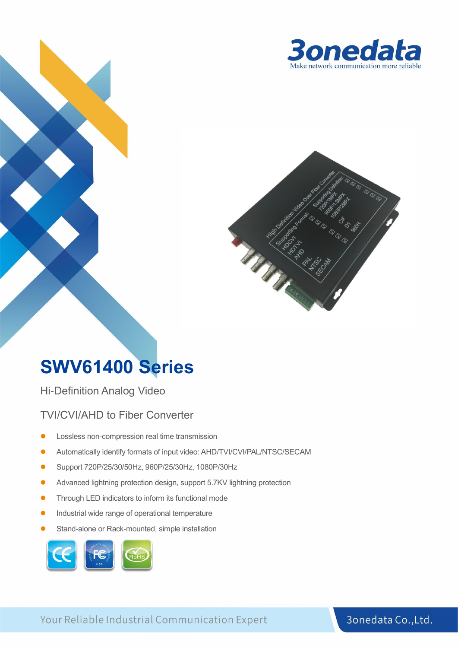



## **SWV61400 Series**

Hi-Definition Analog Video

#### TVI/CVI/AHD to Fiber Converter

- ⚫ Lossless non-compression real time transmission
- ⚫ Automatically identify formats of input video: AHD/TVI/CVI/PAL/NTSC/SECAM
- ⚫ Support 720P/25/30/50Hz, 960P/25/30Hz, 1080P/30Hz
- ⚫ Advanced lightning protection design, support 5.7KV lightning protection
- ⚫ Through LED indicators to inform its functional mode
- ⚫ Industrial wide range of operational temperature
- Stand-alone or Rack-mounted, simple installation



Your Reliable Industrial Communication Expert

#### 3onedata Co., Ltd.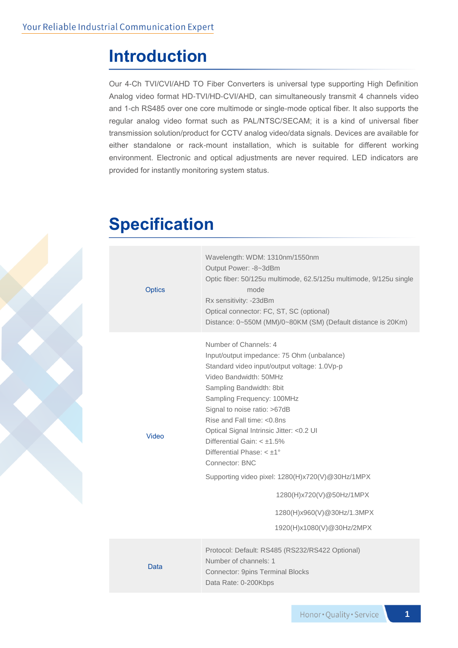### **Introduction**

Our 4-Ch TVI/CVI/AHD TO Fiber Converters is universal type supporting High Definition Analog video format HD-TVI/HD-CVI/AHD, can simultaneously transmit 4 channels video and 1-ch RS485 over one core multimode or single-mode optical fiber. It also supports the regular analog video format such as PAL/NTSC/SECAM; it is a kind of universal fiber transmission solution/product for CCTV analog video/data signals. Devices are available for either standalone or rack-mount installation, which is suitable for different working environment. Electronic and optical adjustments are never required. LED indicators are provided for instantly monitoring system status.

### **Specification**

| <b>Optics</b> | Wavelength: WDM: 1310nm/1550nm<br>Output Power: -8~3dBm<br>Optic fiber: 50/125u multimode, 62.5/125u multimode, 9/125u single<br>mode<br>Rx sensitivity: -23dBm<br>Optical connector: FC, ST, SC (optional)<br>Distance: 0~550M (MM)/0~80KM (SM) (Default distance is 20Km)                                                                                                                                                                                                                                                                                  |
|---------------|--------------------------------------------------------------------------------------------------------------------------------------------------------------------------------------------------------------------------------------------------------------------------------------------------------------------------------------------------------------------------------------------------------------------------------------------------------------------------------------------------------------------------------------------------------------|
| Video         | Number of Channels: 4<br>Input/output impedance: 75 Ohm (unbalance)<br>Standard video input/output voltage: 1.0Vp-p<br>Video Bandwidth: 50MHz<br>Sampling Bandwidth: 8bit<br>Sampling Frequency: 100MHz<br>Signal to noise ratio: >67dB<br>Rise and Fall time: <0.8ns<br>Optical Signal Intrinsic Jitter: < 0.2 UI<br>Differential Gain: $< \pm 1.5\%$<br>Differential Phase: $< \pm 1^{\circ}$<br>Connector: BNC<br>Supporting video pixel: 1280(H)x720(V)@30Hz/1MPX<br>1280(H)x720(V)@50Hz/1MPX<br>1280(H)x960(V)@30Hz/1.3MPX<br>1920(H)x1080(V)@30Hz/2MPX |
| Data          | Protocol: Default: RS485 (RS232/RS422 Optional)<br>Number of channels: 1<br>Connector: 9pins Terminal Blocks<br>Data Rate: 0-200Kbps                                                                                                                                                                                                                                                                                                                                                                                                                         |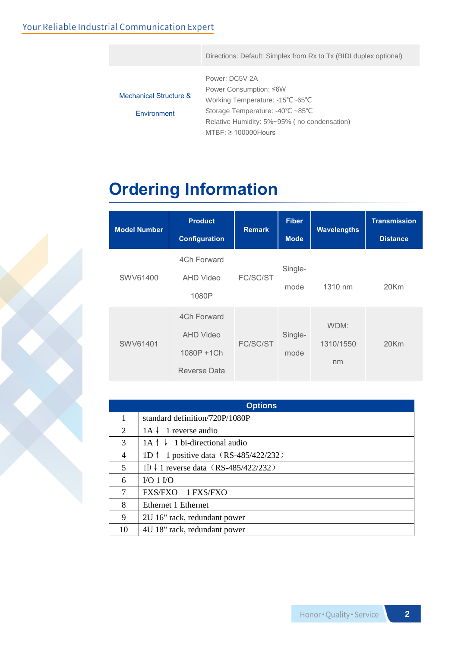#### Your Reliable Industrial Communication Expert

Directions: Default: Simplex from Rx to Tx (BIDI duplex optional)

|                                   | Power: DC5V 2A                                       |
|-----------------------------------|------------------------------------------------------|
|                                   | Power Consumption: ≤6W                               |
| <b>Mechanical Structure &amp;</b> | Working Temperature: -15°C~65°C                      |
| Environment                       | Storage Temperature: $-40^{\circ}C \sim 85^{\circ}C$ |
|                                   | Relative Humidity: 5%~95% (no condensation)          |
|                                   | $MTBF: \geq 100000$ Hours                            |

## **Ordering Information**

| <b>Model Number</b> | <b>Product</b><br><b>Configuration</b>                        | <b>Remark</b> | <b>Fiber</b><br><b>Mode</b> | <b>Wavelengths</b>      | <b>Transmission</b><br><b>Distance</b> |
|---------------------|---------------------------------------------------------------|---------------|-----------------------------|-------------------------|----------------------------------------|
| SWV61400            | 4Ch Forward<br>AHD Video<br>1080P                             | FC/SC/ST      | Single-<br>mode             | 1310 nm                 | $20$ Km                                |
| SWV61401            | 4Ch Forward<br><b>AHD Video</b><br>1080P +1Ch<br>Reverse Data | FC/SC/ST      | Single-<br>mode             | WDM:<br>1310/1550<br>nm | $20$ Km                                |

| <b>Options</b> |                                                 |  |  |  |
|----------------|-------------------------------------------------|--|--|--|
| 1              | standard definition/720P/1080P                  |  |  |  |
| 2              | 1 reverse audio<br>$1A \downarrow$              |  |  |  |
| 3              | $1A \uparrow \downarrow 1$ bi-directional audio |  |  |  |
| 4              | 1D $\uparrow$ 1 positive data (RS-485/422/232)  |  |  |  |
| 5              | 1D ↓ 1 reverse data (RS-485/422/232)            |  |  |  |
| 6              | $VO 1 VO$                                       |  |  |  |
| $\overline{7}$ | FXS/FXO 1 FXS/FXO                               |  |  |  |
| 8              | Ethernet 1 Ethernet                             |  |  |  |
| 9              | 2U 16" rack, redundant power                    |  |  |  |
| 10             | 4U 18" rack, redundant power                    |  |  |  |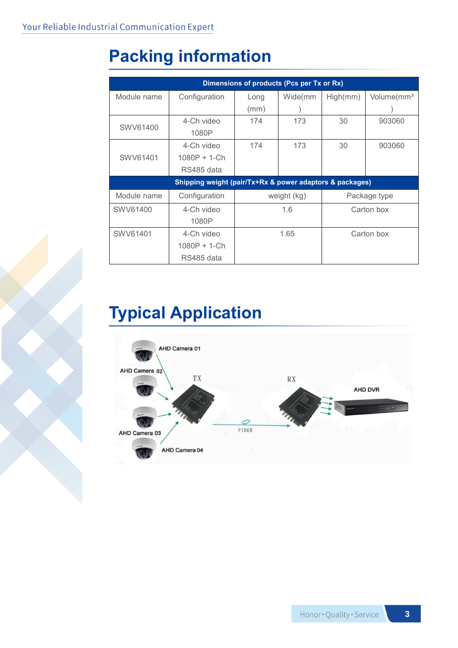# **Packing information**

| Dimensions of products (Pcs per Tx or Rx)                |                |             |         |              |                        |  |  |  |
|----------------------------------------------------------|----------------|-------------|---------|--------------|------------------------|--|--|--|
| Module name                                              | Configuration  | Long        | Wide(mm | High(mm)     | Volume(mm <sup>3</sup> |  |  |  |
|                                                          |                | (mm)        |         |              |                        |  |  |  |
| SWV61400                                                 | 4-Ch video     | 174         | 173     | 30           | 903060                 |  |  |  |
|                                                          | 1080P          |             |         |              |                        |  |  |  |
|                                                          | 4-Ch video     | 174         | 173     | 30           | 903060                 |  |  |  |
| SWV61401                                                 | $1080P + 1-Ch$ |             |         |              |                        |  |  |  |
|                                                          | RS485 data     |             |         |              |                        |  |  |  |
| Shipping weight (pair/Tx+Rx & power adaptors & packages) |                |             |         |              |                        |  |  |  |
| Module name                                              | Configuration  | weight (kg) |         | Package type |                        |  |  |  |
| SWV61400                                                 | 4-Ch video     | 1.6         |         | Carton box   |                        |  |  |  |
|                                                          | 1080P          |             |         |              |                        |  |  |  |
| SWV61401                                                 | 4-Ch video     | 1.65        |         | Carton box   |                        |  |  |  |
|                                                          | $1080P + 1-Ch$ |             |         |              |                        |  |  |  |
|                                                          | RS485 data     |             |         |              |                        |  |  |  |

# **Typical Application**